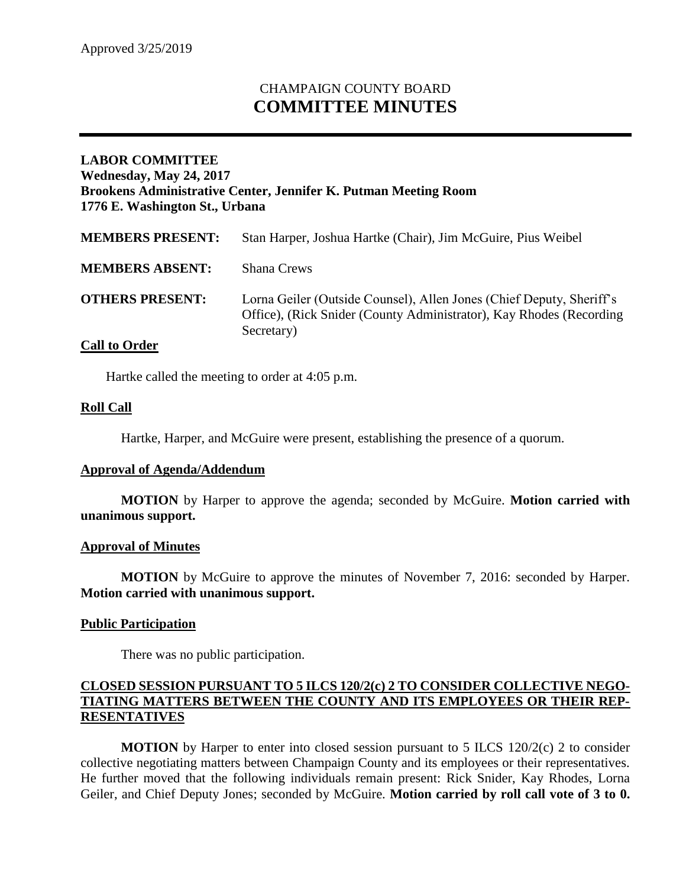# CHAMPAIGN COUNTY BOARD **COMMITTEE MINUTES**

# **LABOR COMMITTEE Wednesday, May 24, 2017 Brookens Administrative Center, Jennifer K. Putman Meeting Room 1776 E. Washington St., Urbana**

| <b>MEMBERS PRESENT:</b> | Stan Harper, Joshua Hartke (Chair), Jim McGuire, Pius Weibel                                                                                               |
|-------------------------|------------------------------------------------------------------------------------------------------------------------------------------------------------|
| <b>MEMBERS ABSENT:</b>  | <b>Shana Crews</b>                                                                                                                                         |
| <b>OTHERS PRESENT:</b>  | Lorna Geiler (Outside Counsel), Allen Jones (Chief Deputy, Sheriff's<br>Office), (Rick Snider (County Administrator), Kay Rhodes (Recording)<br>Secretary) |

# **Call to Order**

Hartke called the meeting to order at 4:05 p.m.

#### **Roll Call**

Hartke, Harper, and McGuire were present, establishing the presence of a quorum.

#### **Approval of Agenda/Addendum**

**MOTION** by Harper to approve the agenda; seconded by McGuire. **Motion carried with unanimous support.**

#### **Approval of Minutes**

**MOTION** by McGuire to approve the minutes of November 7, 2016: seconded by Harper. **Motion carried with unanimous support.** 

# **Public Participation**

There was no public participation.

#### **CLOSED SESSION PURSUANT TO 5 ILCS 120/2(c) 2 TO CONSIDER COLLECTIVE NEGO-TIATING MATTERS BETWEEN THE COUNTY AND ITS EMPLOYEES OR THEIR REP-RESENTATIVES**

**MOTION** by Harper to enter into closed session pursuant to 5 ILCS 120/2(c) 2 to consider collective negotiating matters between Champaign County and its employees or their representatives. He further moved that the following individuals remain present: Rick Snider, Kay Rhodes, Lorna Geiler, and Chief Deputy Jones; seconded by McGuire. **Motion carried by roll call vote of 3 to 0.**